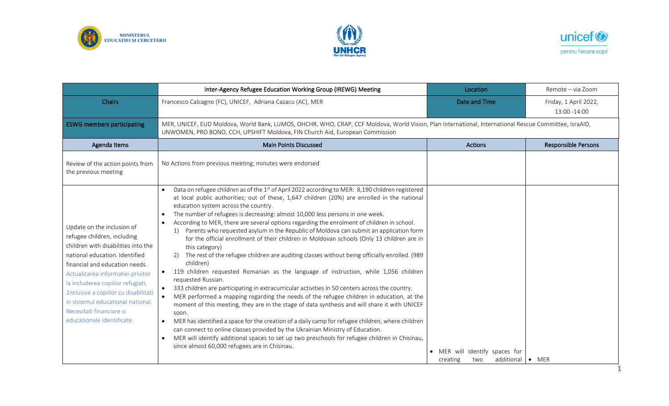





|                                                                                                                                                                                                                                                                                                                                                                                       | Inter-Agency Refugee Education Working Group (IREWG) Meeting                                                                                                                                                                                                                                                                                                                                                                                                                                                                                                                                                                                                                                                                                                                                                                                                                                                                                                                                                                                                                                                                                                                                                                                                                                                                                                                                                                                                                                                                                        | Location                                                        | Remote - via Zoom                     |  |
|---------------------------------------------------------------------------------------------------------------------------------------------------------------------------------------------------------------------------------------------------------------------------------------------------------------------------------------------------------------------------------------|-----------------------------------------------------------------------------------------------------------------------------------------------------------------------------------------------------------------------------------------------------------------------------------------------------------------------------------------------------------------------------------------------------------------------------------------------------------------------------------------------------------------------------------------------------------------------------------------------------------------------------------------------------------------------------------------------------------------------------------------------------------------------------------------------------------------------------------------------------------------------------------------------------------------------------------------------------------------------------------------------------------------------------------------------------------------------------------------------------------------------------------------------------------------------------------------------------------------------------------------------------------------------------------------------------------------------------------------------------------------------------------------------------------------------------------------------------------------------------------------------------------------------------------------------------|-----------------------------------------------------------------|---------------------------------------|--|
| <b>Chairs</b>                                                                                                                                                                                                                                                                                                                                                                         | Francesco Calcagno (FC), UNICEF, Adriana Cazacu (AC), MER                                                                                                                                                                                                                                                                                                                                                                                                                                                                                                                                                                                                                                                                                                                                                                                                                                                                                                                                                                                                                                                                                                                                                                                                                                                                                                                                                                                                                                                                                           | Date and Time                                                   | Friday, 1 April 2022,<br>13:00 -14:00 |  |
| <b>ESWG members participating</b>                                                                                                                                                                                                                                                                                                                                                     | MER, UNICEF, EUD Moldova, World Bank, LUMOS, OHCHR, WHO, CRAP, CCF Moldova, World Vision, Plan International, International Rescue Committee, IsraAID,<br>UNWOMEN, PRO BONO, CCH, UPSHIFT Moldova, FIN Church Aid, European Commission                                                                                                                                                                                                                                                                                                                                                                                                                                                                                                                                                                                                                                                                                                                                                                                                                                                                                                                                                                                                                                                                                                                                                                                                                                                                                                              |                                                                 |                                       |  |
| Agenda Items                                                                                                                                                                                                                                                                                                                                                                          | <b>Main Points Discussed</b>                                                                                                                                                                                                                                                                                                                                                                                                                                                                                                                                                                                                                                                                                                                                                                                                                                                                                                                                                                                                                                                                                                                                                                                                                                                                                                                                                                                                                                                                                                                        | Actions                                                         | <b>Responsible Persons</b>            |  |
| Review of the action points from<br>the previous meeting                                                                                                                                                                                                                                                                                                                              | No Actions from previous meeting; minutes were endorsed                                                                                                                                                                                                                                                                                                                                                                                                                                                                                                                                                                                                                                                                                                                                                                                                                                                                                                                                                                                                                                                                                                                                                                                                                                                                                                                                                                                                                                                                                             |                                                                 |                                       |  |
| Update on the inclusion of<br>refugee children, including<br>children with disabilities into the<br>national education. Identified<br>financial and education needs.<br>Actualizarea informatiei privitor<br>la includerea copiilor refugiati,<br>1nclusive a copiilor cu disabilitati<br>in sistemul educational national.<br>Necesitati financiare si<br>educationale identificate. | Data on refugee children as of the 1 <sup>st</sup> of April 2022 according to MER: 8,190 children registered<br>at local public authorities; out of these, 1,647 children (20%) are enrolled in the national<br>education system across the country.<br>The number of refugees is decreasing: almost 10,000 less persons in one week.<br>According to MER, there are several options regarding the enrolment of children in school.<br>Parents who requested asylum in the Republic of Moldova can submit an application form<br>1)<br>for the official enrollment of their children in Moldovan schools (Only 13 children are in<br>this category)<br>The rest of the refugee children are auditing classes without being officially enrolled. (989<br>2)<br>children)<br>119 children requested Romanian as the language of instruction, while 1,056 children<br>requested Russian.<br>333 children are participating in extracurricular activities in 50 centers across the country.<br>MER performed a mapping regarding the needs of the refugee children in education, at the<br>moment of this meeting, they are in the stage of data synthesis and will share it with UNICEF<br>soon.<br>MER has identified a space for the creation of a daily camp for refugee children, where children<br>$\bullet$<br>can connect to online classes provided by the Ukrainian Ministry of Education.<br>MER will identify additional spaces to set up two preschools for refugee children in Chisinau,<br>since almost 60,000 refugees are in Chisinau. | • MER will identify spaces for<br>additional<br>creating<br>two | <b>MER</b><br>$\bullet$               |  |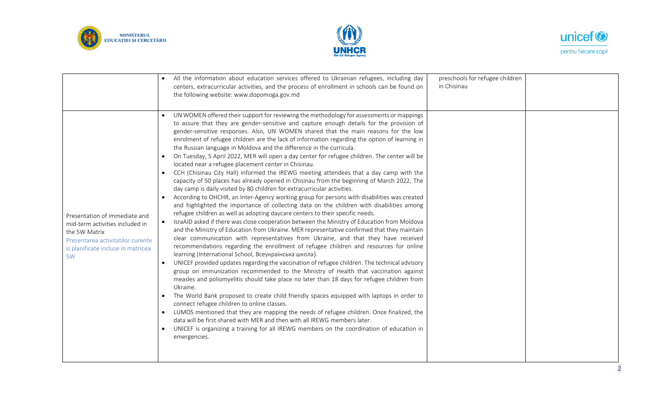





|                                                                                                                                                                    | All the information about education services offered to Ukrainian refugees, including day<br>centers, extracurricular activities, and the process of enrollment in schools can be found on<br>the following website: www.dopomoga.gov.md                                                                                                                                                                                                                                                                                                                                                                                                                                                                                                                                                                                                                                                                                                                                                                                                                                                                                                                                                                                                                                                                                                                                                                                                                                                                                                                                                                                                                                                                                                                                                                                                                                                                                                                                                                                                                                                                                                                                                                                                                                                                                                                             | preschools for refugee children<br>in Chisinau |
|--------------------------------------------------------------------------------------------------------------------------------------------------------------------|----------------------------------------------------------------------------------------------------------------------------------------------------------------------------------------------------------------------------------------------------------------------------------------------------------------------------------------------------------------------------------------------------------------------------------------------------------------------------------------------------------------------------------------------------------------------------------------------------------------------------------------------------------------------------------------------------------------------------------------------------------------------------------------------------------------------------------------------------------------------------------------------------------------------------------------------------------------------------------------------------------------------------------------------------------------------------------------------------------------------------------------------------------------------------------------------------------------------------------------------------------------------------------------------------------------------------------------------------------------------------------------------------------------------------------------------------------------------------------------------------------------------------------------------------------------------------------------------------------------------------------------------------------------------------------------------------------------------------------------------------------------------------------------------------------------------------------------------------------------------------------------------------------------------------------------------------------------------------------------------------------------------------------------------------------------------------------------------------------------------------------------------------------------------------------------------------------------------------------------------------------------------------------------------------------------------------------------------------------------------|------------------------------------------------|
| Presentation of immediate and<br>mid-term activities included in<br>the 5W Matrix<br>Prezentarea activitatilor curente<br>si planificate incluse in matricea<br>5W | UN WOMEN offered their support for reviewing the methodology for assessments or mappings<br>to assure that they are gender-sensitive and capture enough details for the provision of<br>gender-sensitive responses. Also, UN WOMEN shared that the main reasons for the low<br>enrolment of refugee children are the lack of information regarding the option of learning in<br>the Russian language in Moldova and the difference in the curricula.<br>On Tuesday, 5 April 2022, MER will open a day center for refugee children. The center will be<br>located near a refugee placement center in Chisinau.<br>CCH (Chisinau City Hall) informed the IREWG meeting attendees that a day camp with the<br>capacity of 50 places has already opened in Chisinau from the beginning of March 2022, The<br>day camp is daily visited by 80 children for extracurricular activities.<br>According to OHCHR, an Inter-Agency working group for persons with disabilities was created<br>and highlighted the importance of collecting data on the children with disabilities among<br>refugee children as well as adopting daycare centers to their specific needs.<br>IsraAID asked if there was close cooperation between the Ministry of Education from Moldova<br>and the Ministry of Education from Ukraine. MER representative confirmed that they maintain<br>clear communication with representatives from Ukraine, and that they have received<br>recommendations regarding the enrollment of refugee children and resources for online<br>learning (International School, Всеукраїнська школа).<br>UNICEF provided updates regarding the vaccination of refugee children. The technical advisory<br>$\bullet$<br>group on immunization recommended to the Ministry of Health that vaccination against<br>measles and poliomyelitis should take place no later than 18 days for refugee children from<br>Ukraine.<br>The World Bank proposed to create child friendly spaces equipped with laptops in order to<br>connect refugee children to online classes.<br>LUMOS mentioned that they are mapping the needs of refugee children. Once finalized, the<br>data will be first shared with MER and then with all IREWG members later.<br>UNICEF is organizing a training for all IREWG members on the coordination of education in<br>$\bullet$<br>emergencies. |                                                |